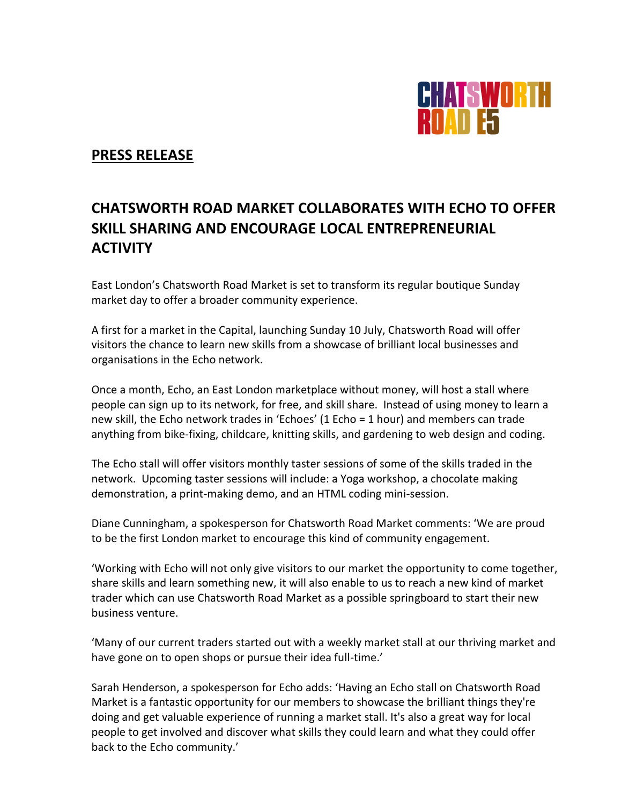

# **PRESS RELEASE**

# **CHATSWORTH ROAD MARKET COLLABORATES WITH ECHO TO OFFER SKILL SHARING AND ENCOURAGE LOCAL ENTREPRENEURIAL ACTIVITY**

East London's Chatsworth Road Market is set to transform its regular boutique Sunday market day to offer a broader community experience.

A first for a market in the Capital, launching Sunday 10 July, Chatsworth Road will offer visitors the chance to learn new skills from a showcase of brilliant local businesses and organisations in the Echo network.

Once a month, Echo, an East London marketplace without money, will host a stall where people can sign up to its network, for free, and skill share. Instead of using money to learn a new skill, the Echo network trades in 'Echoes' (1 Echo = 1 hour) and members can trade anything from bike-fixing, childcare, knitting skills, and gardening to web design and coding.

The Echo stall will offer visitors monthly taster sessions of some of the skills traded in the network. Upcoming taster sessions will include: a Yoga workshop, a chocolate making demonstration, a print-making demo, and an HTML coding mini-session.

Diane Cunningham, a spokesperson for Chatsworth Road Market comments: 'We are proud to be the first London market to encourage this kind of community engagement.

'Working with Echo will not only give visitors to our market the opportunity to come together, share skills and learn something new, it will also enable to us to reach a new kind of market trader which can use Chatsworth Road Market as a possible springboard to start their new business venture.

'Many of our current traders started out with a weekly market stall at our thriving market and have gone on to open shops or pursue their idea full-time.'

Sarah Henderson, a spokesperson for Echo adds: 'Having an Echo stall on Chatsworth Road Market is a fantastic opportunity for our members to showcase the brilliant things they're doing and get valuable experience of running a market stall. It's also a great way for local people to get involved and discover what skills they could learn and what they could offer back to the Echo community.'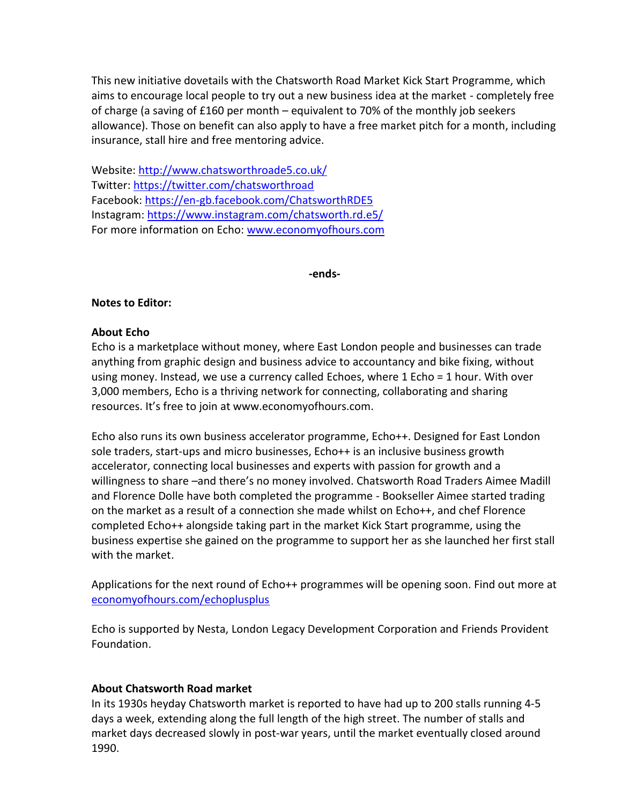This new initiative dovetails with the Chatsworth Road Market Kick Start Programme, which aims to encourage local people to try out a new business idea at the market - completely free of charge (a saving of £160 per month – equivalent to 70% of the monthly job seekers allowance). Those on benefit can also apply to have a free market pitch for a month, including insurance, stall hire and free mentoring advice.

Website:<http://www.chatsworthroade5.co.uk/> Twitter:<https://twitter.com/chatsworthroad> Facebook[: https://en-gb.facebook.com/ChatsworthRDE5](https://en-gb.facebook.com/ChatsworthRDE5) Instagram:<https://www.instagram.com/chatsworth.rd.e5/> For more information on Echo: [www.economyofhours.com](http://www.economyofhours.com/)

**-ends-**

# **Notes to Editor:**

# **About Echo**

Echo is a marketplace without money, where East London people and businesses can trade anything from graphic design and business advice to accountancy and bike fixing, without using money. Instead, we use a currency called Echoes, where 1 Echo = 1 hour. With over 3,000 members, Echo is a thriving network for connecting, collaborating and sharing resources. It's free to join at www.economyofhours.com.

Echo also runs its own business accelerator programme, Echo++. Designed for East London sole traders, start-ups and micro businesses, Echo++ is an inclusive business growth accelerator, connecting local businesses and experts with passion for growth and a willingness to share –and there's no money involved. Chatsworth Road Traders Aimee Madill and Florence Dolle have both completed the programme - Bookseller Aimee started trading on the market as a result of a connection she made whilst on Echo++, and chef Florence completed Echo++ alongside taking part in the market Kick Start programme, using the business expertise she gained on the programme to support her as she launched her first stall with the market.

Applications for the next round of Echo++ programmes will be opening soon. Find out more at [economyofhours.com/echoplusplus](http://economyofhours.com/echoplusplus)

Echo is supported by Nesta, London Legacy Development Corporation and Friends Provident Foundation.

# **About Chatsworth Road market**

In its 1930s heyday Chatsworth market is reported to have had up to 200 stalls running 4‐5 days a week, extending along the full length of the high street. The number of stalls and market days decreased slowly in post-war years, until the market eventually closed around 1990.